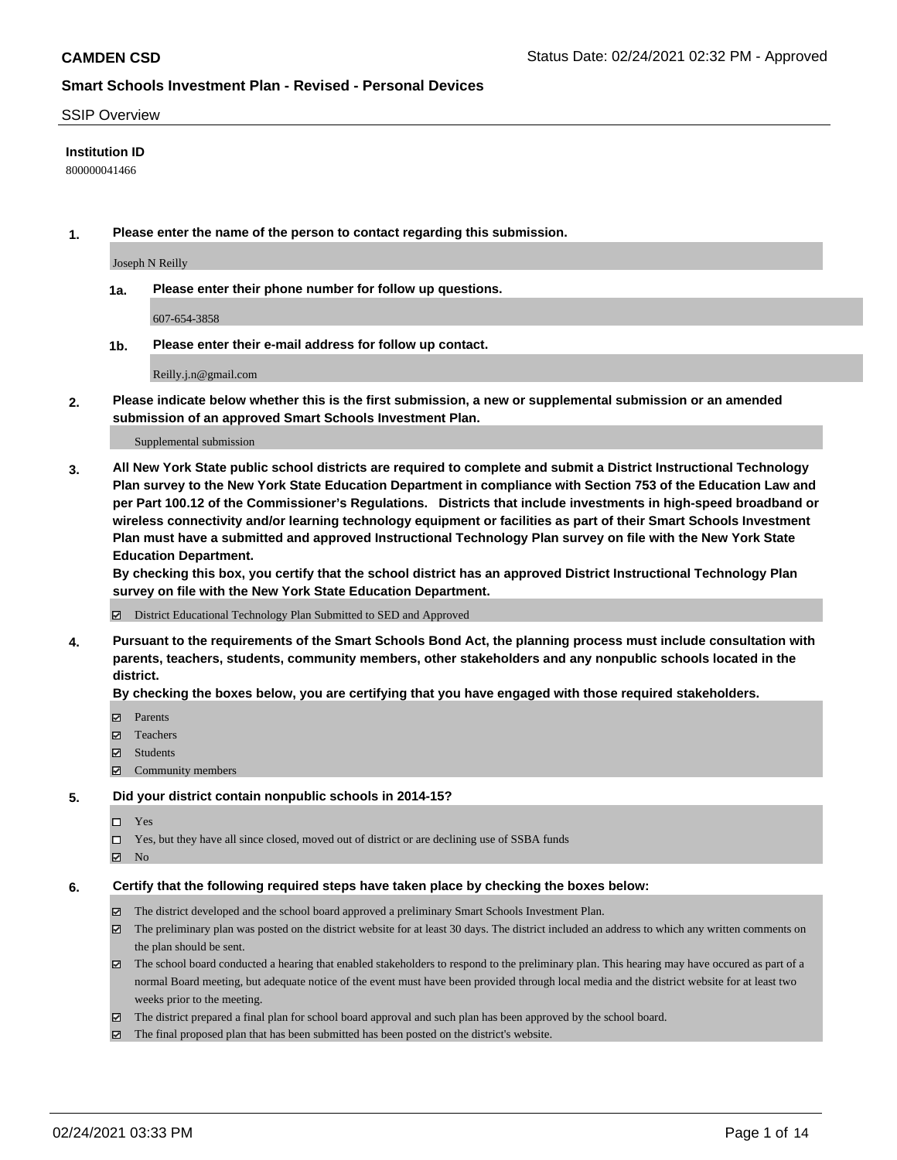### SSIP Overview

### **Institution ID**

800000041466

**1. Please enter the name of the person to contact regarding this submission.**

Joseph N Reilly

**1a. Please enter their phone number for follow up questions.**

607-654-3858

**1b. Please enter their e-mail address for follow up contact.**

Reilly.j.n@gmail.com

**2. Please indicate below whether this is the first submission, a new or supplemental submission or an amended submission of an approved Smart Schools Investment Plan.**

#### Supplemental submission

**3. All New York State public school districts are required to complete and submit a District Instructional Technology Plan survey to the New York State Education Department in compliance with Section 753 of the Education Law and per Part 100.12 of the Commissioner's Regulations. Districts that include investments in high-speed broadband or wireless connectivity and/or learning technology equipment or facilities as part of their Smart Schools Investment Plan must have a submitted and approved Instructional Technology Plan survey on file with the New York State Education Department.** 

**By checking this box, you certify that the school district has an approved District Instructional Technology Plan survey on file with the New York State Education Department.**

District Educational Technology Plan Submitted to SED and Approved

**4. Pursuant to the requirements of the Smart Schools Bond Act, the planning process must include consultation with parents, teachers, students, community members, other stakeholders and any nonpublic schools located in the district.** 

### **By checking the boxes below, you are certifying that you have engaged with those required stakeholders.**

- **Ø** Parents
- Teachers
- Students
- Community members

#### **5. Did your district contain nonpublic schools in 2014-15?**

- □ Yes
- □ Yes, but they have all since closed, moved out of district or are declining use of SSBA funds
- **Ø** No

#### **6. Certify that the following required steps have taken place by checking the boxes below:**

- The district developed and the school board approved a preliminary Smart Schools Investment Plan.
- The preliminary plan was posted on the district website for at least 30 days. The district included an address to which any written comments on the plan should be sent.
- The school board conducted a hearing that enabled stakeholders to respond to the preliminary plan. This hearing may have occured as part of a normal Board meeting, but adequate notice of the event must have been provided through local media and the district website for at least two weeks prior to the meeting.
- The district prepared a final plan for school board approval and such plan has been approved by the school board.
- $\boxtimes$  The final proposed plan that has been submitted has been posted on the district's website.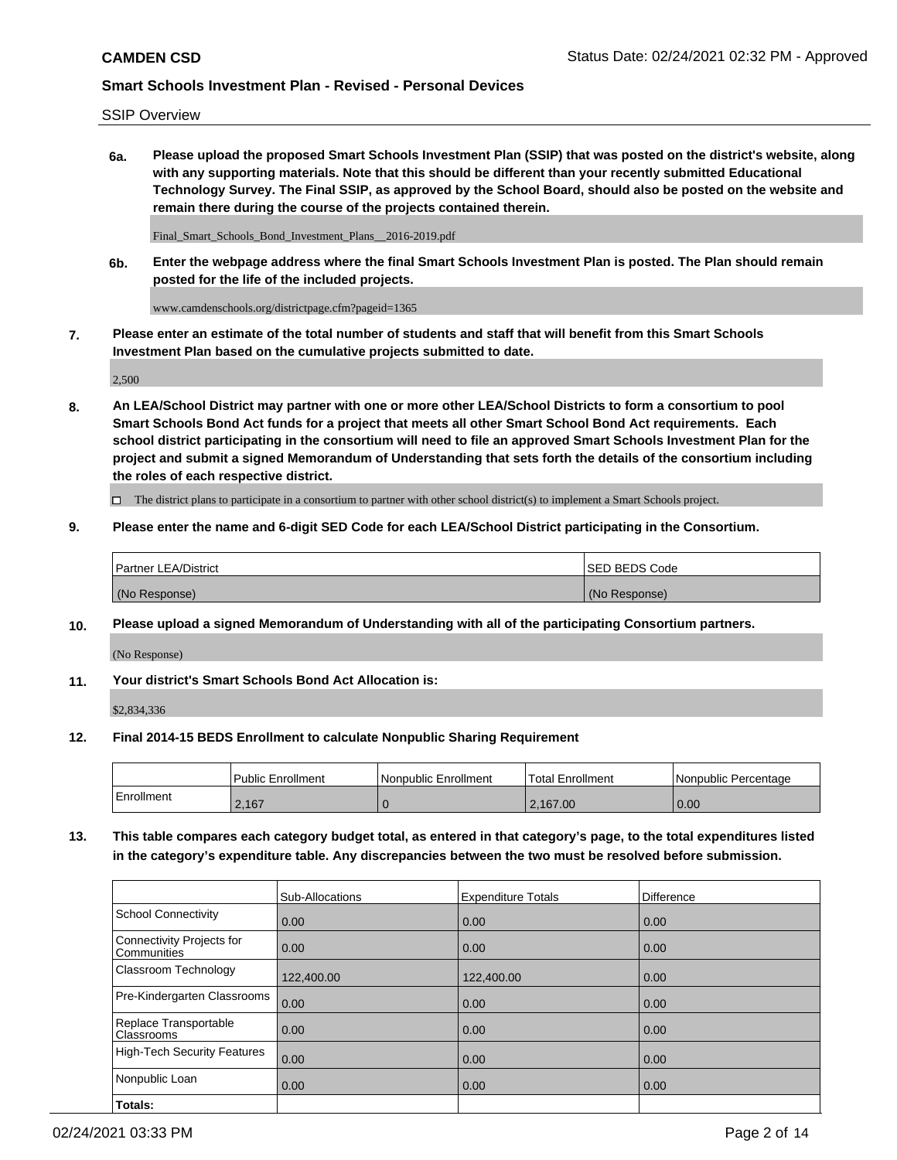SSIP Overview

**6a. Please upload the proposed Smart Schools Investment Plan (SSIP) that was posted on the district's website, along with any supporting materials. Note that this should be different than your recently submitted Educational Technology Survey. The Final SSIP, as approved by the School Board, should also be posted on the website and remain there during the course of the projects contained therein.**

Final\_Smart\_Schools\_Bond\_Investment\_Plans\_\_2016-2019.pdf

**6b. Enter the webpage address where the final Smart Schools Investment Plan is posted. The Plan should remain posted for the life of the included projects.**

www.camdenschools.org/districtpage.cfm?pageid=1365

**7. Please enter an estimate of the total number of students and staff that will benefit from this Smart Schools Investment Plan based on the cumulative projects submitted to date.**

2,500

**8. An LEA/School District may partner with one or more other LEA/School Districts to form a consortium to pool Smart Schools Bond Act funds for a project that meets all other Smart School Bond Act requirements. Each school district participating in the consortium will need to file an approved Smart Schools Investment Plan for the project and submit a signed Memorandum of Understanding that sets forth the details of the consortium including the roles of each respective district.**

 $\Box$  The district plans to participate in a consortium to partner with other school district(s) to implement a Smart Schools project.

### **9. Please enter the name and 6-digit SED Code for each LEA/School District participating in the Consortium.**

| Partner LEA/District | ISED BEDS Code |
|----------------------|----------------|
| (No Response)        | (No Response)  |

## **10. Please upload a signed Memorandum of Understanding with all of the participating Consortium partners.**

(No Response)

**11. Your district's Smart Schools Bond Act Allocation is:**

\$2,834,336

#### **12. Final 2014-15 BEDS Enrollment to calculate Nonpublic Sharing Requirement**

|            | Public Enrollment | Nonpublic Enrollment | Total Enrollment | l Nonpublic Percentage |
|------------|-------------------|----------------------|------------------|------------------------|
| Enrollment | 2.167             |                      | 2,167.00         | 0.00                   |

**13. This table compares each category budget total, as entered in that category's page, to the total expenditures listed in the category's expenditure table. Any discrepancies between the two must be resolved before submission.**

|                                          | Sub-Allocations | <b>Expenditure Totals</b> | Difference |
|------------------------------------------|-----------------|---------------------------|------------|
| <b>School Connectivity</b>               | 0.00            | 0.00                      | 0.00       |
| Connectivity Projects for<br>Communities | 0.00            | 0.00                      | 0.00       |
| Classroom Technology                     | 122,400.00      | 122,400.00                | 0.00       |
| Pre-Kindergarten Classrooms              | 0.00            | 0.00                      | 0.00       |
| Replace Transportable<br>Classrooms      | 0.00            | 0.00                      | 0.00       |
| <b>High-Tech Security Features</b>       | 0.00            | 0.00                      | 0.00       |
| Nonpublic Loan                           | 0.00            | 0.00                      | 0.00       |
| Totals:                                  |                 |                           |            |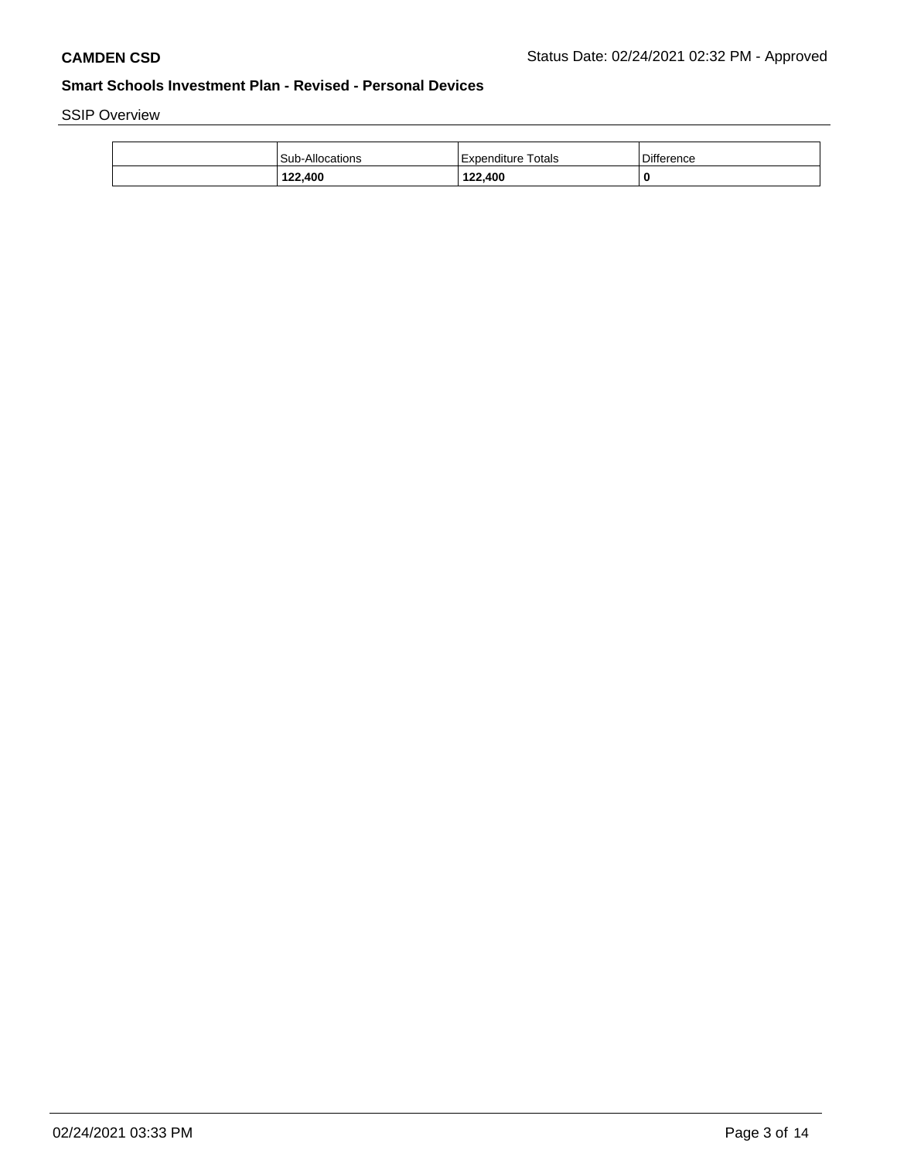SSIP Overview

| 122.400                | 122,400            | 0          |
|------------------------|--------------------|------------|
| <b>Sub-Allocations</b> | Expenditure Totals | Difference |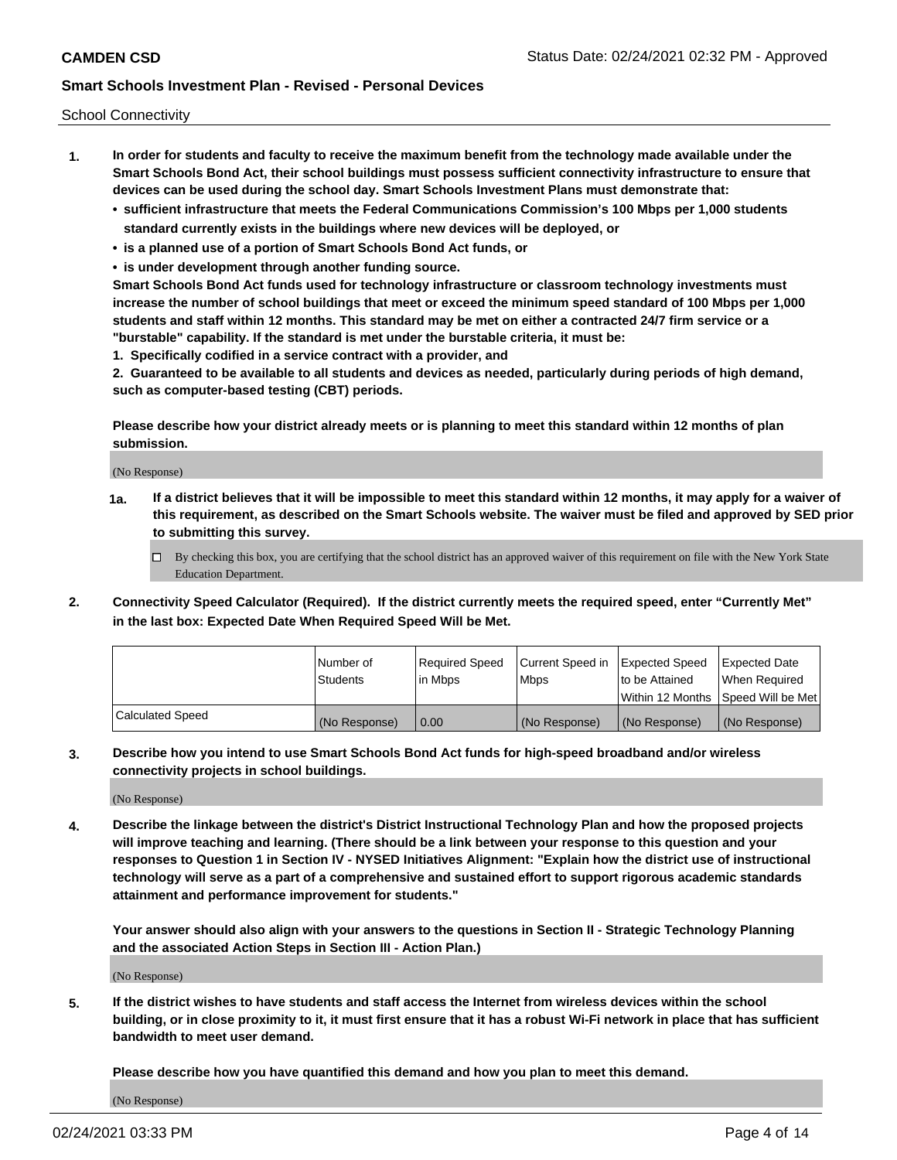School Connectivity

- **1. In order for students and faculty to receive the maximum benefit from the technology made available under the Smart Schools Bond Act, their school buildings must possess sufficient connectivity infrastructure to ensure that devices can be used during the school day. Smart Schools Investment Plans must demonstrate that:**
	- **• sufficient infrastructure that meets the Federal Communications Commission's 100 Mbps per 1,000 students standard currently exists in the buildings where new devices will be deployed, or**
	- **• is a planned use of a portion of Smart Schools Bond Act funds, or**
	- **• is under development through another funding source.**

**Smart Schools Bond Act funds used for technology infrastructure or classroom technology investments must increase the number of school buildings that meet or exceed the minimum speed standard of 100 Mbps per 1,000 students and staff within 12 months. This standard may be met on either a contracted 24/7 firm service or a "burstable" capability. If the standard is met under the burstable criteria, it must be:**

**1. Specifically codified in a service contract with a provider, and**

**2. Guaranteed to be available to all students and devices as needed, particularly during periods of high demand, such as computer-based testing (CBT) periods.**

**Please describe how your district already meets or is planning to meet this standard within 12 months of plan submission.**

(No Response)

**1a. If a district believes that it will be impossible to meet this standard within 12 months, it may apply for a waiver of this requirement, as described on the Smart Schools website. The waiver must be filed and approved by SED prior to submitting this survey.**

 $\Box$  By checking this box, you are certifying that the school district has an approved waiver of this requirement on file with the New York State Education Department.

**2. Connectivity Speed Calculator (Required). If the district currently meets the required speed, enter "Currently Met" in the last box: Expected Date When Required Speed Will be Met.**

|                  | l Number of     | Required Speed | Current Speed in | <b>Expected Speed</b> | <b>Expected Date</b>                |
|------------------|-----------------|----------------|------------------|-----------------------|-------------------------------------|
|                  | <b>Students</b> | l in Mbps      | <b>Mbps</b>      | to be Attained        | When Required                       |
|                  |                 |                |                  |                       | Within 12 Months ISpeed Will be Met |
| Calculated Speed | (No Response)   | 0.00           | (No Response)    | (No Response)         | (No Response)                       |

**3. Describe how you intend to use Smart Schools Bond Act funds for high-speed broadband and/or wireless connectivity projects in school buildings.**

(No Response)

**4. Describe the linkage between the district's District Instructional Technology Plan and how the proposed projects will improve teaching and learning. (There should be a link between your response to this question and your responses to Question 1 in Section IV - NYSED Initiatives Alignment: "Explain how the district use of instructional technology will serve as a part of a comprehensive and sustained effort to support rigorous academic standards attainment and performance improvement for students."** 

**Your answer should also align with your answers to the questions in Section II - Strategic Technology Planning and the associated Action Steps in Section III - Action Plan.)**

(No Response)

**5. If the district wishes to have students and staff access the Internet from wireless devices within the school building, or in close proximity to it, it must first ensure that it has a robust Wi-Fi network in place that has sufficient bandwidth to meet user demand.**

**Please describe how you have quantified this demand and how you plan to meet this demand.**

(No Response)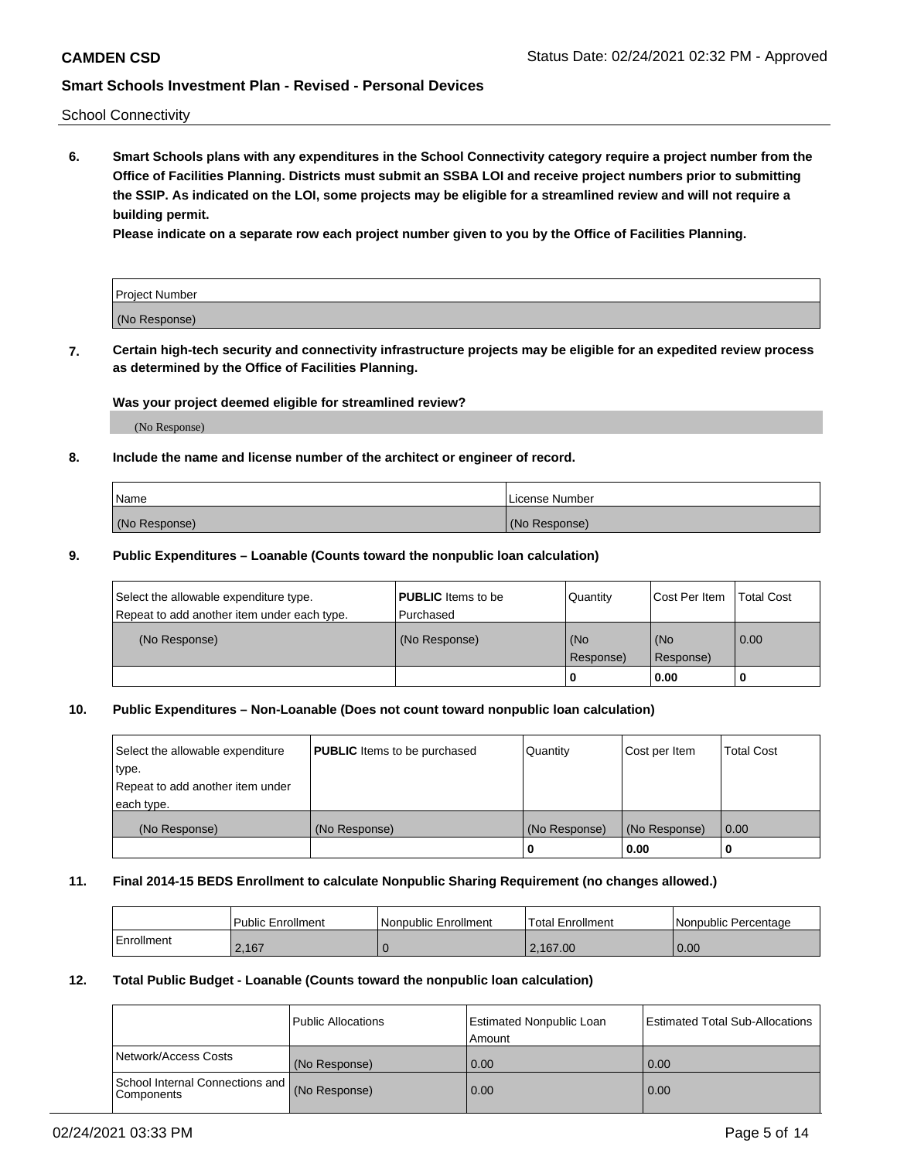School Connectivity

**6. Smart Schools plans with any expenditures in the School Connectivity category require a project number from the Office of Facilities Planning. Districts must submit an SSBA LOI and receive project numbers prior to submitting the SSIP. As indicated on the LOI, some projects may be eligible for a streamlined review and will not require a building permit.**

**Please indicate on a separate row each project number given to you by the Office of Facilities Planning.**

| Project Number |  |
|----------------|--|
| (No Response)  |  |

**7. Certain high-tech security and connectivity infrastructure projects may be eligible for an expedited review process as determined by the Office of Facilities Planning.**

## **Was your project deemed eligible for streamlined review?**

(No Response)

## **8. Include the name and license number of the architect or engineer of record.**

| Name          | License Number |
|---------------|----------------|
| (No Response) | (No Response)  |

## **9. Public Expenditures – Loanable (Counts toward the nonpublic loan calculation)**

| Select the allowable expenditure type.<br>Repeat to add another item under each type. | <b>PUBLIC</b> Items to be<br>l Purchased | Quantity         | l Cost Per Item  | <b>Total Cost</b> |
|---------------------------------------------------------------------------------------|------------------------------------------|------------------|------------------|-------------------|
| (No Response)                                                                         | (No Response)                            | (No<br>Response) | (No<br>Response) | 0.00              |
|                                                                                       |                                          | 0                | 0.00             |                   |

## **10. Public Expenditures – Non-Loanable (Does not count toward nonpublic loan calculation)**

| Select the allowable expenditure<br>type.<br>Repeat to add another item under<br>each type. | <b>PUBLIC</b> Items to be purchased | Quantity      | Cost per Item | <b>Total Cost</b> |
|---------------------------------------------------------------------------------------------|-------------------------------------|---------------|---------------|-------------------|
| (No Response)                                                                               | (No Response)                       | (No Response) | (No Response) | 0.00              |
|                                                                                             |                                     |               | 0.00          |                   |

#### **11. Final 2014-15 BEDS Enrollment to calculate Nonpublic Sharing Requirement (no changes allowed.)**

|            | Public Enrollment | Nonpublic Enrollment | <b>Total Enrollment</b> | l Nonpublic Percentage |
|------------|-------------------|----------------------|-------------------------|------------------------|
| Enrollment | 2.167             |                      | 2.167.00                | 0.00                   |

## **12. Total Public Budget - Loanable (Counts toward the nonpublic loan calculation)**

|                                               | Public Allocations | <b>Estimated Nonpublic Loan</b><br>Amount | Estimated Total Sub-Allocations |
|-----------------------------------------------|--------------------|-------------------------------------------|---------------------------------|
| Network/Access Costs                          | (No Response)      | 0.00                                      | 0.00                            |
| School Internal Connections and<br>Components | (No Response)      | 0.00                                      | 0.00                            |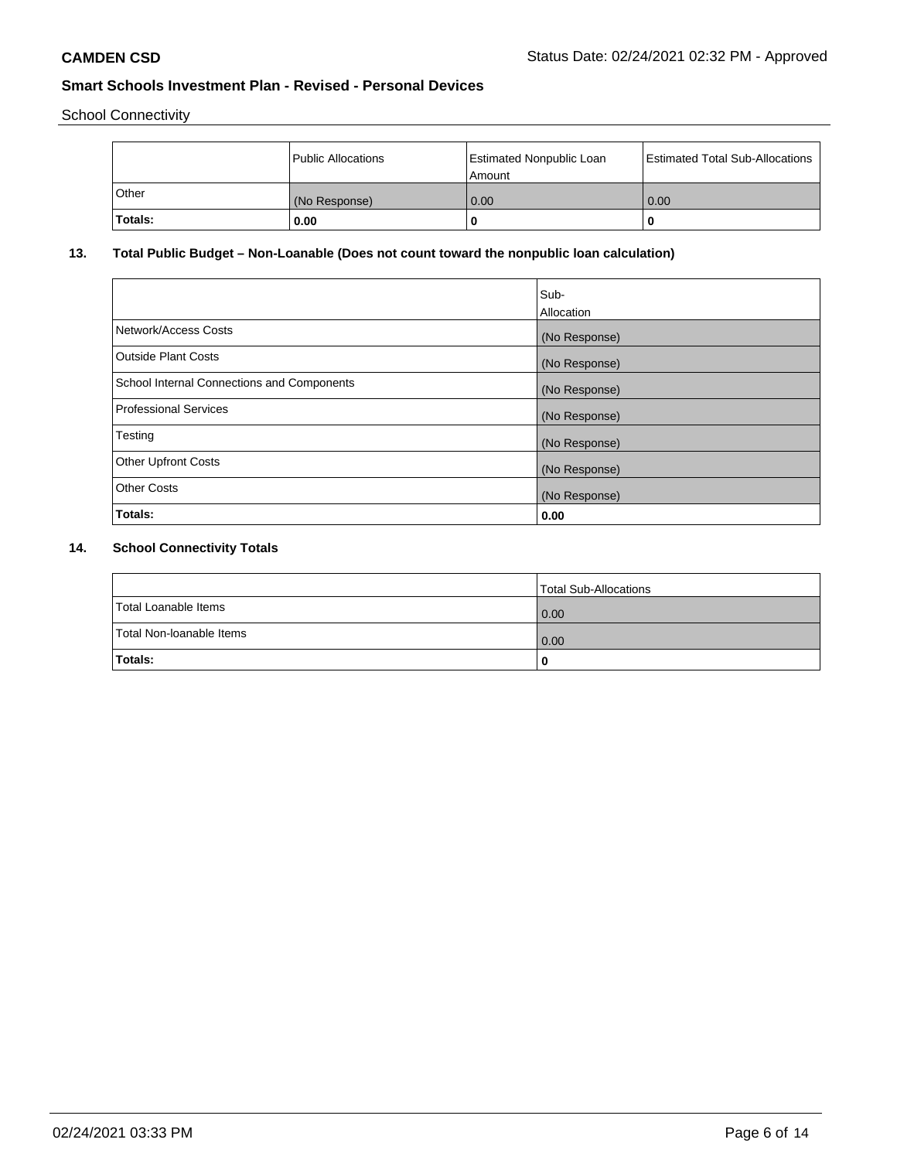School Connectivity

|         | Public Allocations | <b>Estimated Nonpublic Loan</b><br>Amount | <b>Estimated Total Sub-Allocations</b> |
|---------|--------------------|-------------------------------------------|----------------------------------------|
| l Other | (No Response)      | 0.00                                      | 0.00                                   |
| Totals: | 0.00               | 0                                         |                                        |

# **13. Total Public Budget – Non-Loanable (Does not count toward the nonpublic loan calculation)**

|                                                   | Sub-<br>Allocation |
|---------------------------------------------------|--------------------|
| Network/Access Costs                              | (No Response)      |
| Outside Plant Costs                               | (No Response)      |
| <b>School Internal Connections and Components</b> | (No Response)      |
| Professional Services                             | (No Response)      |
| Testing                                           | (No Response)      |
| <b>Other Upfront Costs</b>                        | (No Response)      |
| <b>Other Costs</b>                                | (No Response)      |
| Totals:                                           | 0.00               |

# **14. School Connectivity Totals**

|                          | Total Sub-Allocations |
|--------------------------|-----------------------|
| Total Loanable Items     | 0.00                  |
| Total Non-Ioanable Items | 0.00                  |
| Totals:                  | 0                     |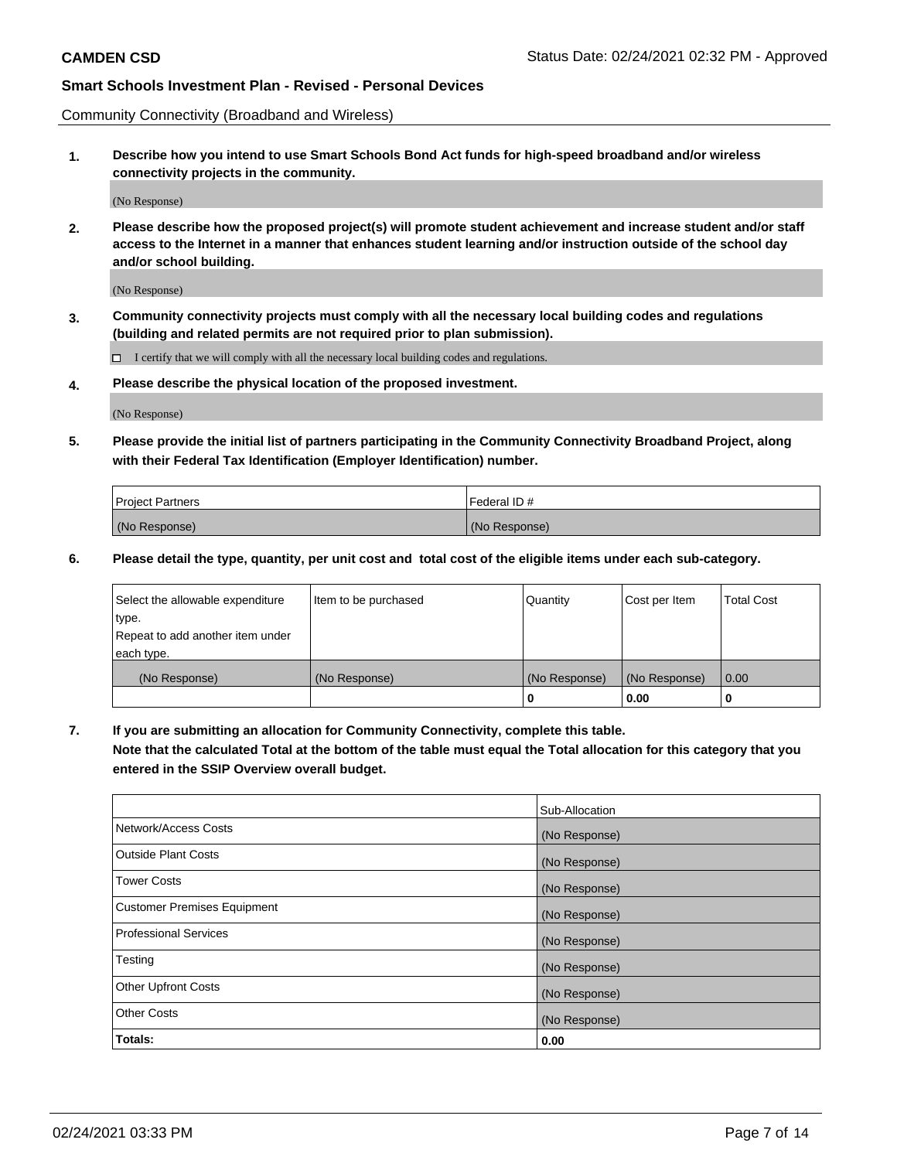Community Connectivity (Broadband and Wireless)

**1. Describe how you intend to use Smart Schools Bond Act funds for high-speed broadband and/or wireless connectivity projects in the community.**

(No Response)

**2. Please describe how the proposed project(s) will promote student achievement and increase student and/or staff access to the Internet in a manner that enhances student learning and/or instruction outside of the school day and/or school building.**

(No Response)

**3. Community connectivity projects must comply with all the necessary local building codes and regulations (building and related permits are not required prior to plan submission).**

 $\Box$  I certify that we will comply with all the necessary local building codes and regulations.

**4. Please describe the physical location of the proposed investment.**

(No Response)

**5. Please provide the initial list of partners participating in the Community Connectivity Broadband Project, along with their Federal Tax Identification (Employer Identification) number.**

| <b>Project Partners</b> | l Federal ID # |
|-------------------------|----------------|
| (No Response)           | (No Response)  |

**6. Please detail the type, quantity, per unit cost and total cost of the eligible items under each sub-category.**

| Select the allowable expenditure | Item to be purchased | Quantity      | Cost per Item | <b>Total Cost</b> |
|----------------------------------|----------------------|---------------|---------------|-------------------|
| type.                            |                      |               |               |                   |
| Repeat to add another item under |                      |               |               |                   |
| each type.                       |                      |               |               |                   |
| (No Response)                    | (No Response)        | (No Response) | (No Response) | 0.00              |
|                                  |                      | U             | 0.00          |                   |

**7. If you are submitting an allocation for Community Connectivity, complete this table.**

**Note that the calculated Total at the bottom of the table must equal the Total allocation for this category that you entered in the SSIP Overview overall budget.**

|                                    | Sub-Allocation |
|------------------------------------|----------------|
| Network/Access Costs               | (No Response)  |
| Outside Plant Costs                | (No Response)  |
| <b>Tower Costs</b>                 | (No Response)  |
| <b>Customer Premises Equipment</b> | (No Response)  |
| <b>Professional Services</b>       | (No Response)  |
| Testing                            | (No Response)  |
| <b>Other Upfront Costs</b>         | (No Response)  |
| <b>Other Costs</b>                 | (No Response)  |
| Totals:                            | 0.00           |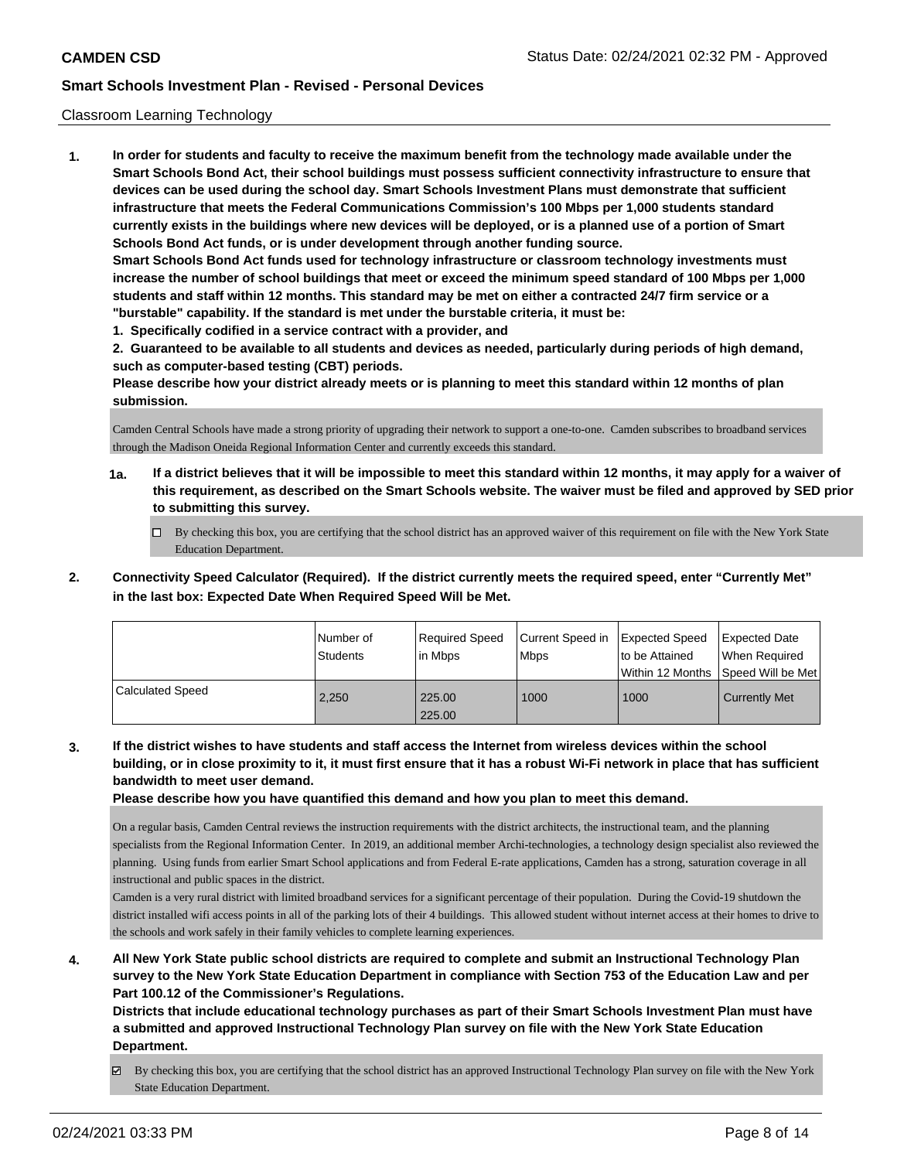## Classroom Learning Technology

**1. In order for students and faculty to receive the maximum benefit from the technology made available under the Smart Schools Bond Act, their school buildings must possess sufficient connectivity infrastructure to ensure that devices can be used during the school day. Smart Schools Investment Plans must demonstrate that sufficient infrastructure that meets the Federal Communications Commission's 100 Mbps per 1,000 students standard currently exists in the buildings where new devices will be deployed, or is a planned use of a portion of Smart Schools Bond Act funds, or is under development through another funding source. Smart Schools Bond Act funds used for technology infrastructure or classroom technology investments must increase the number of school buildings that meet or exceed the minimum speed standard of 100 Mbps per 1,000 students and staff within 12 months. This standard may be met on either a contracted 24/7 firm service or a "burstable" capability. If the standard is met under the burstable criteria, it must be:**

**1. Specifically codified in a service contract with a provider, and**

**2. Guaranteed to be available to all students and devices as needed, particularly during periods of high demand, such as computer-based testing (CBT) periods.**

**Please describe how your district already meets or is planning to meet this standard within 12 months of plan submission.**

Camden Central Schools have made a strong priority of upgrading their network to support a one-to-one. Camden subscribes to broadband services through the Madison Oneida Regional Information Center and currently exceeds this standard.

- **1a. If a district believes that it will be impossible to meet this standard within 12 months, it may apply for a waiver of this requirement, as described on the Smart Schools website. The waiver must be filed and approved by SED prior to submitting this survey.**
	- By checking this box, you are certifying that the school district has an approved waiver of this requirement on file with the New York State Education Department.
- **2. Connectivity Speed Calculator (Required). If the district currently meets the required speed, enter "Currently Met" in the last box: Expected Date When Required Speed Will be Met.**

|                  | Number of<br><b>Students</b> | Required Speed<br>l in Mbps | Current Speed in<br>Mbps | <b>Expected Speed</b><br>to be Attained<br>l Within 12 Months | Expected Date<br>When Required<br>Speed Will be Met |
|------------------|------------------------------|-----------------------------|--------------------------|---------------------------------------------------------------|-----------------------------------------------------|
| Calculated Speed | 2.250                        | 225.00<br>225.00            | 1000                     | 1000                                                          | <b>Currently Met</b>                                |

**3. If the district wishes to have students and staff access the Internet from wireless devices within the school building, or in close proximity to it, it must first ensure that it has a robust Wi-Fi network in place that has sufficient bandwidth to meet user demand.**

**Please describe how you have quantified this demand and how you plan to meet this demand.**

On a regular basis, Camden Central reviews the instruction requirements with the district architects, the instructional team, and the planning specialists from the Regional Information Center. In 2019, an additional member Archi-technologies, a technology design specialist also reviewed the planning. Using funds from earlier Smart School applications and from Federal E-rate applications, Camden has a strong, saturation coverage in all instructional and public spaces in the district.

Camden is a very rural district with limited broadband services for a significant percentage of their population. During the Covid-19 shutdown the district installed wifi access points in all of the parking lots of their 4 buildings. This allowed student without internet access at their homes to drive to the schools and work safely in their family vehicles to complete learning experiences.

**4. All New York State public school districts are required to complete and submit an Instructional Technology Plan survey to the New York State Education Department in compliance with Section 753 of the Education Law and per Part 100.12 of the Commissioner's Regulations.**

**Districts that include educational technology purchases as part of their Smart Schools Investment Plan must have a submitted and approved Instructional Technology Plan survey on file with the New York State Education Department.**

By checking this box, you are certifying that the school district has an approved Instructional Technology Plan survey on file with the New York State Education Department.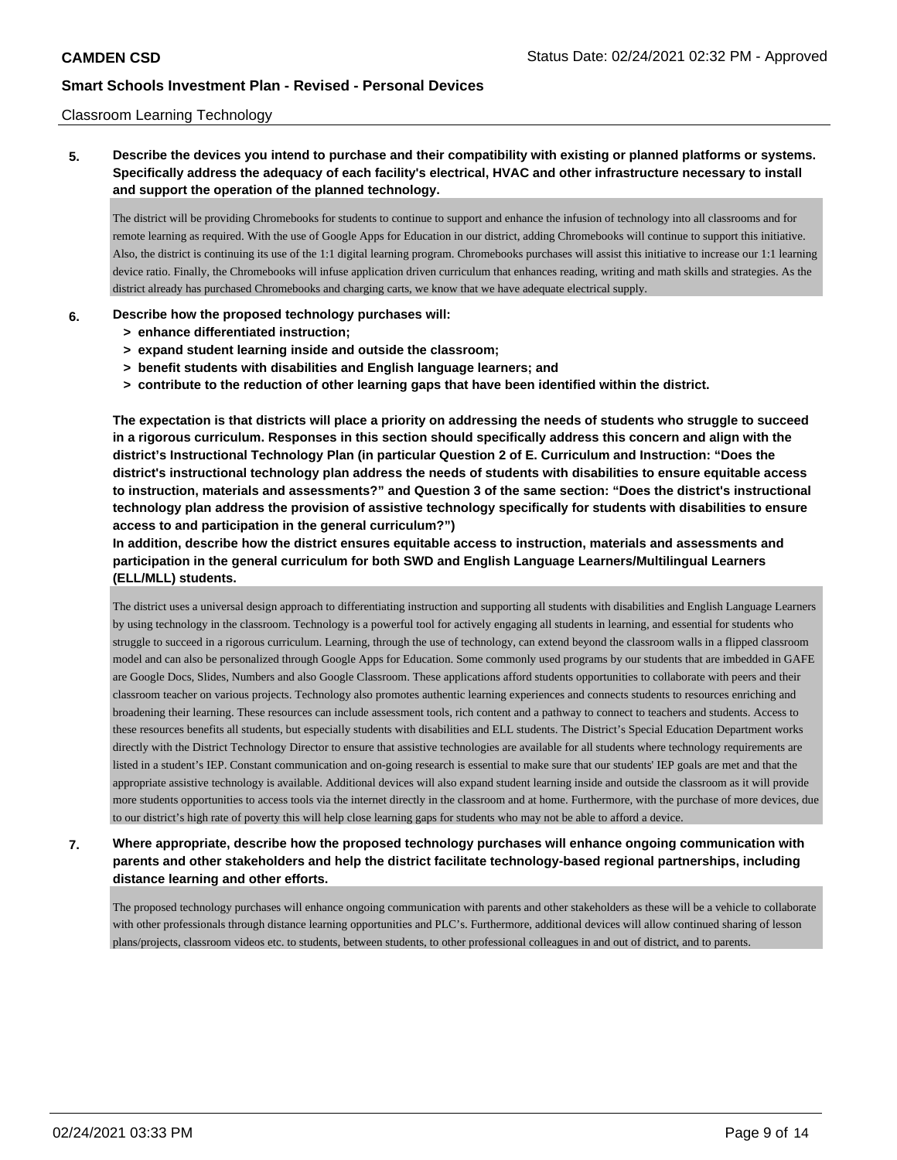## Classroom Learning Technology

**5. Describe the devices you intend to purchase and their compatibility with existing or planned platforms or systems. Specifically address the adequacy of each facility's electrical, HVAC and other infrastructure necessary to install and support the operation of the planned technology.**

The district will be providing Chromebooks for students to continue to support and enhance the infusion of technology into all classrooms and for remote learning as required. With the use of Google Apps for Education in our district, adding Chromebooks will continue to support this initiative. Also, the district is continuing its use of the 1:1 digital learning program. Chromebooks purchases will assist this initiative to increase our 1:1 learning device ratio. Finally, the Chromebooks will infuse application driven curriculum that enhances reading, writing and math skills and strategies. As the district already has purchased Chromebooks and charging carts, we know that we have adequate electrical supply.

### **6. Describe how the proposed technology purchases will:**

- **> enhance differentiated instruction;**
- **> expand student learning inside and outside the classroom;**
- **> benefit students with disabilities and English language learners; and**
- **> contribute to the reduction of other learning gaps that have been identified within the district.**

**The expectation is that districts will place a priority on addressing the needs of students who struggle to succeed in a rigorous curriculum. Responses in this section should specifically address this concern and align with the district's Instructional Technology Plan (in particular Question 2 of E. Curriculum and Instruction: "Does the district's instructional technology plan address the needs of students with disabilities to ensure equitable access to instruction, materials and assessments?" and Question 3 of the same section: "Does the district's instructional technology plan address the provision of assistive technology specifically for students with disabilities to ensure access to and participation in the general curriculum?")**

**In addition, describe how the district ensures equitable access to instruction, materials and assessments and participation in the general curriculum for both SWD and English Language Learners/Multilingual Learners (ELL/MLL) students.**

The district uses a universal design approach to differentiating instruction and supporting all students with disabilities and English Language Learners by using technology in the classroom. Technology is a powerful tool for actively engaging all students in learning, and essential for students who struggle to succeed in a rigorous curriculum. Learning, through the use of technology, can extend beyond the classroom walls in a flipped classroom model and can also be personalized through Google Apps for Education. Some commonly used programs by our students that are imbedded in GAFE are Google Docs, Slides, Numbers and also Google Classroom. These applications afford students opportunities to collaborate with peers and their classroom teacher on various projects. Technology also promotes authentic learning experiences and connects students to resources enriching and broadening their learning. These resources can include assessment tools, rich content and a pathway to connect to teachers and students. Access to these resources benefits all students, but especially students with disabilities and ELL students. The District's Special Education Department works directly with the District Technology Director to ensure that assistive technologies are available for all students where technology requirements are listed in a student's IEP. Constant communication and on-going research is essential to make sure that our students' IEP goals are met and that the appropriate assistive technology is available. Additional devices will also expand student learning inside and outside the classroom as it will provide more students opportunities to access tools via the internet directly in the classroom and at home. Furthermore, with the purchase of more devices, due to our district's high rate of poverty this will help close learning gaps for students who may not be able to afford a device.

**7. Where appropriate, describe how the proposed technology purchases will enhance ongoing communication with parents and other stakeholders and help the district facilitate technology-based regional partnerships, including distance learning and other efforts.**

The proposed technology purchases will enhance ongoing communication with parents and other stakeholders as these will be a vehicle to collaborate with other professionals through distance learning opportunities and PLC's. Furthermore, additional devices will allow continued sharing of lesson plans/projects, classroom videos etc. to students, between students, to other professional colleagues in and out of district, and to parents.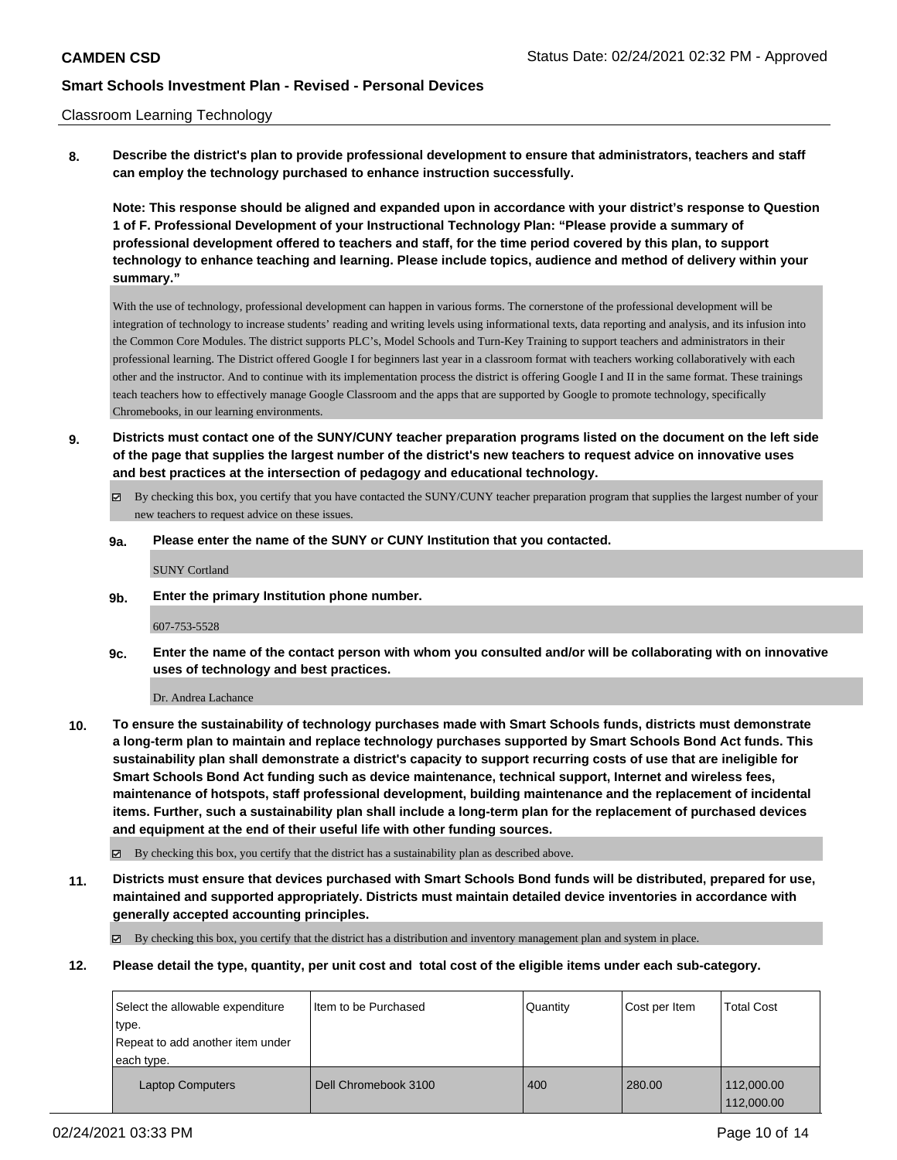### Classroom Learning Technology

**8. Describe the district's plan to provide professional development to ensure that administrators, teachers and staff can employ the technology purchased to enhance instruction successfully.**

**Note: This response should be aligned and expanded upon in accordance with your district's response to Question 1 of F. Professional Development of your Instructional Technology Plan: "Please provide a summary of professional development offered to teachers and staff, for the time period covered by this plan, to support technology to enhance teaching and learning. Please include topics, audience and method of delivery within your summary."**

With the use of technology, professional development can happen in various forms. The cornerstone of the professional development will be integration of technology to increase students' reading and writing levels using informational texts, data reporting and analysis, and its infusion into the Common Core Modules. The district supports PLC's, Model Schools and Turn-Key Training to support teachers and administrators in their professional learning. The District offered Google I for beginners last year in a classroom format with teachers working collaboratively with each other and the instructor. And to continue with its implementation process the district is offering Google I and II in the same format. These trainings teach teachers how to effectively manage Google Classroom and the apps that are supported by Google to promote technology, specifically Chromebooks, in our learning environments.

- **9. Districts must contact one of the SUNY/CUNY teacher preparation programs listed on the document on the left side of the page that supplies the largest number of the district's new teachers to request advice on innovative uses and best practices at the intersection of pedagogy and educational technology.**
	- By checking this box, you certify that you have contacted the SUNY/CUNY teacher preparation program that supplies the largest number of your new teachers to request advice on these issues.

### **9a. Please enter the name of the SUNY or CUNY Institution that you contacted.**

SUNY Cortland

**9b. Enter the primary Institution phone number.**

#### 607-753-5528

**9c. Enter the name of the contact person with whom you consulted and/or will be collaborating with on innovative uses of technology and best practices.**

Dr. Andrea Lachance

**10. To ensure the sustainability of technology purchases made with Smart Schools funds, districts must demonstrate a long-term plan to maintain and replace technology purchases supported by Smart Schools Bond Act funds. This sustainability plan shall demonstrate a district's capacity to support recurring costs of use that are ineligible for Smart Schools Bond Act funding such as device maintenance, technical support, Internet and wireless fees, maintenance of hotspots, staff professional development, building maintenance and the replacement of incidental items. Further, such a sustainability plan shall include a long-term plan for the replacement of purchased devices and equipment at the end of their useful life with other funding sources.**

By checking this box, you certify that the district has a sustainability plan as described above.

**11. Districts must ensure that devices purchased with Smart Schools Bond funds will be distributed, prepared for use, maintained and supported appropriately. Districts must maintain detailed device inventories in accordance with generally accepted accounting principles.**

By checking this box, you certify that the district has a distribution and inventory management plan and system in place.

**12. Please detail the type, quantity, per unit cost and total cost of the eligible items under each sub-category.**

| Select the allowable expenditure | I Item to be Purchased | Quantity | Cost per Item | <b>Total Cost</b> |
|----------------------------------|------------------------|----------|---------------|-------------------|
| type.                            |                        |          |               |                   |
| Repeat to add another item under |                        |          |               |                   |
| each type.                       |                        |          |               |                   |
| <b>Laptop Computers</b>          | Dell Chromebook 3100   | 400      | 280.00        | 112,000.00        |
|                                  |                        |          |               | 112,000.00        |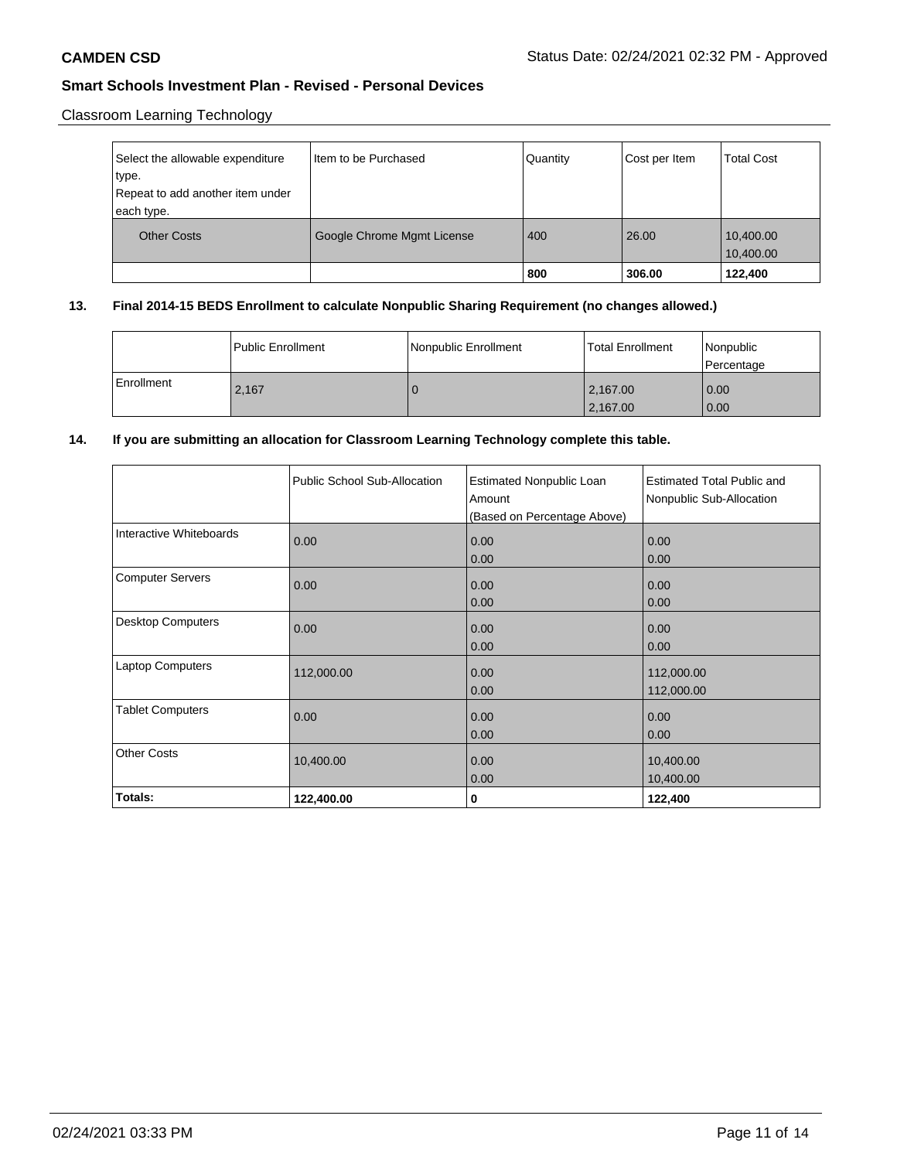# Classroom Learning Technology

| Select the allowable expenditure<br>type.<br>Repeat to add another item under | I Item to be Purchased     | Quantity | Cost per Item | <b>Total Cost</b>      |
|-------------------------------------------------------------------------------|----------------------------|----------|---------------|------------------------|
| each type.                                                                    |                            |          |               |                        |
| <b>Other Costs</b>                                                            | Google Chrome Mgmt License | 400      | 26.00         | 10,400.00<br>10,400.00 |
|                                                                               |                            | 800      | 306.00        | 122,400                |

## **13. Final 2014-15 BEDS Enrollment to calculate Nonpublic Sharing Requirement (no changes allowed.)**

|            | Public Enrollment | Nonpublic Enrollment | <b>Total Enrollment</b> | Nonpublic<br>Percentage   |
|------------|-------------------|----------------------|-------------------------|---------------------------|
| Enrollment | 2,167             |                      | 2,167.00 <br>2,167.00   | 0.00<br>$\overline{0.00}$ |

## **14. If you are submitting an allocation for Classroom Learning Technology complete this table.**

|                          | Public School Sub-Allocation | <b>Estimated Nonpublic Loan</b><br>Amount<br>(Based on Percentage Above) | <b>Estimated Total Public and</b><br>Nonpublic Sub-Allocation |
|--------------------------|------------------------------|--------------------------------------------------------------------------|---------------------------------------------------------------|
| Interactive Whiteboards  | 0.00                         | 0.00<br>0.00                                                             | 0.00<br>0.00                                                  |
| <b>Computer Servers</b>  | 0.00                         | 0.00<br>0.00                                                             | 0.00<br>0.00                                                  |
| <b>Desktop Computers</b> | 0.00                         | 0.00<br>0.00                                                             | 0.00<br>0.00                                                  |
| <b>Laptop Computers</b>  | 112,000.00                   | 0.00<br>0.00                                                             | 112,000.00<br>112,000.00                                      |
| <b>Tablet Computers</b>  | 0.00                         | 0.00<br>0.00                                                             | 0.00<br>0.00                                                  |
| <b>Other Costs</b>       | 10,400.00                    | 0.00<br>0.00                                                             | 10,400.00<br>10,400.00                                        |
| Totals:                  | 122,400.00                   | 0                                                                        | 122,400                                                       |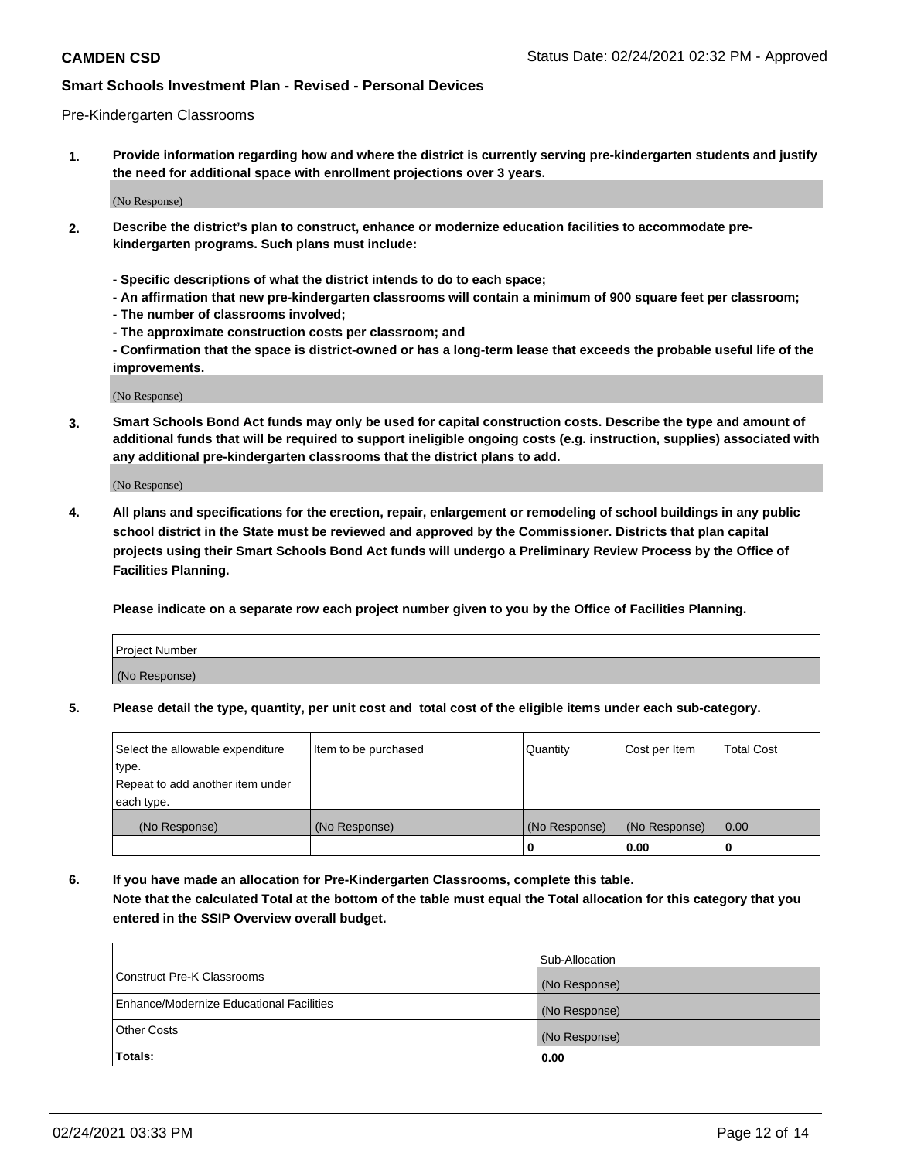### Pre-Kindergarten Classrooms

**1. Provide information regarding how and where the district is currently serving pre-kindergarten students and justify the need for additional space with enrollment projections over 3 years.**

(No Response)

- **2. Describe the district's plan to construct, enhance or modernize education facilities to accommodate prekindergarten programs. Such plans must include:**
	- **Specific descriptions of what the district intends to do to each space;**
	- **An affirmation that new pre-kindergarten classrooms will contain a minimum of 900 square feet per classroom;**
	- **The number of classrooms involved;**
	- **The approximate construction costs per classroom; and**
	- **Confirmation that the space is district-owned or has a long-term lease that exceeds the probable useful life of the improvements.**

(No Response)

**3. Smart Schools Bond Act funds may only be used for capital construction costs. Describe the type and amount of additional funds that will be required to support ineligible ongoing costs (e.g. instruction, supplies) associated with any additional pre-kindergarten classrooms that the district plans to add.**

(No Response)

**4. All plans and specifications for the erection, repair, enlargement or remodeling of school buildings in any public school district in the State must be reviewed and approved by the Commissioner. Districts that plan capital projects using their Smart Schools Bond Act funds will undergo a Preliminary Review Process by the Office of Facilities Planning.**

**Please indicate on a separate row each project number given to you by the Office of Facilities Planning.**

| Project Number |  |
|----------------|--|
| (No Response)  |  |
|                |  |

**5. Please detail the type, quantity, per unit cost and total cost of the eligible items under each sub-category.**

| Select the allowable expenditure | Item to be purchased | Quantity      | Cost per Item | <b>Total Cost</b> |
|----------------------------------|----------------------|---------------|---------------|-------------------|
| type.                            |                      |               |               |                   |
| Repeat to add another item under |                      |               |               |                   |
| each type.                       |                      |               |               |                   |
| (No Response)                    | (No Response)        | (No Response) | (No Response) | 0.00              |
|                                  |                      | U             | 0.00          |                   |

**6. If you have made an allocation for Pre-Kindergarten Classrooms, complete this table. Note that the calculated Total at the bottom of the table must equal the Total allocation for this category that you entered in the SSIP Overview overall budget.**

|                                          | Sub-Allocation |
|------------------------------------------|----------------|
| Construct Pre-K Classrooms               | (No Response)  |
| Enhance/Modernize Educational Facilities | (No Response)  |
| <b>Other Costs</b>                       | (No Response)  |
| Totals:                                  | 0.00           |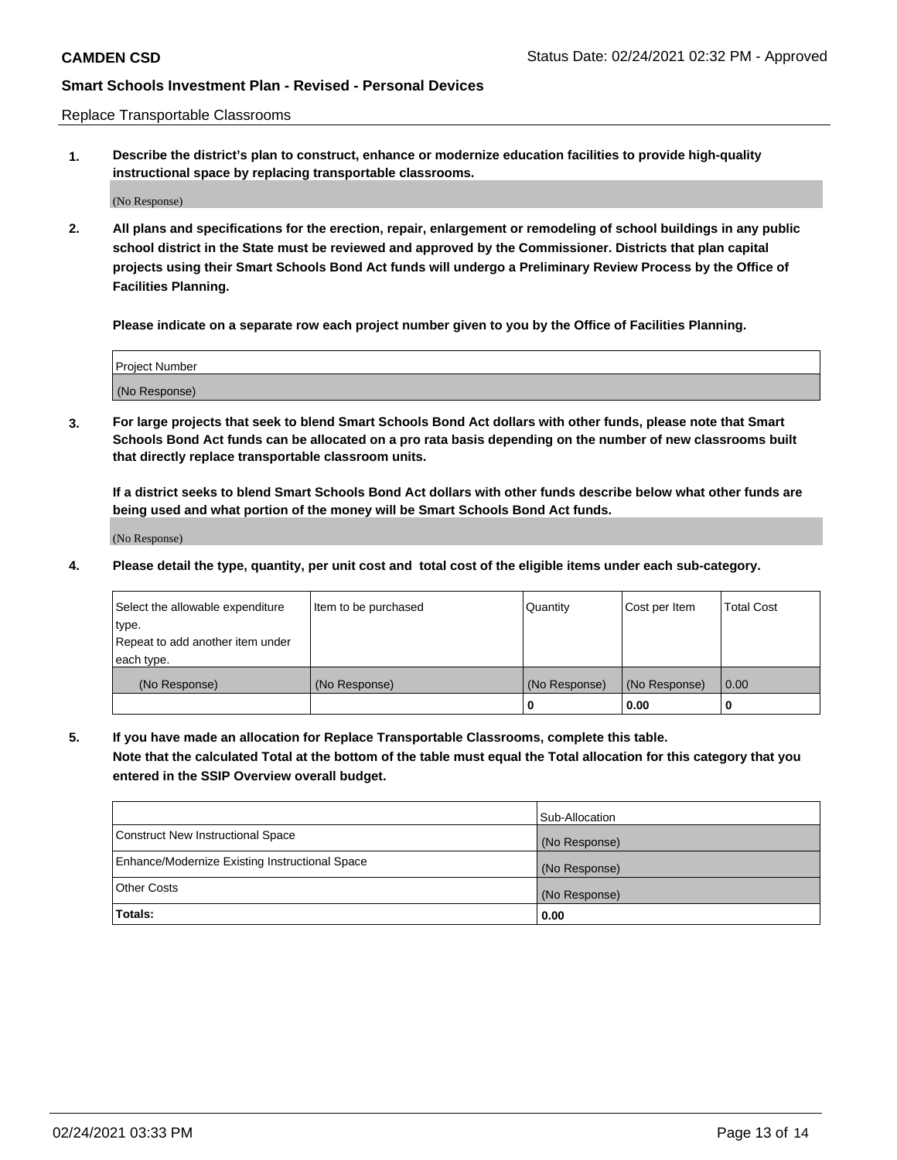Replace Transportable Classrooms

**1. Describe the district's plan to construct, enhance or modernize education facilities to provide high-quality instructional space by replacing transportable classrooms.**

(No Response)

**2. All plans and specifications for the erection, repair, enlargement or remodeling of school buildings in any public school district in the State must be reviewed and approved by the Commissioner. Districts that plan capital projects using their Smart Schools Bond Act funds will undergo a Preliminary Review Process by the Office of Facilities Planning.**

**Please indicate on a separate row each project number given to you by the Office of Facilities Planning.**

| Project Number |  |
|----------------|--|
|                |  |
|                |  |
|                |  |
|                |  |
| (No Response)  |  |
|                |  |
|                |  |
|                |  |

**3. For large projects that seek to blend Smart Schools Bond Act dollars with other funds, please note that Smart Schools Bond Act funds can be allocated on a pro rata basis depending on the number of new classrooms built that directly replace transportable classroom units.**

**If a district seeks to blend Smart Schools Bond Act dollars with other funds describe below what other funds are being used and what portion of the money will be Smart Schools Bond Act funds.**

(No Response)

**4. Please detail the type, quantity, per unit cost and total cost of the eligible items under each sub-category.**

| Select the allowable expenditure | Item to be purchased | Quantity      | Cost per Item | Total Cost |
|----------------------------------|----------------------|---------------|---------------|------------|
| ∣type.                           |                      |               |               |            |
| Repeat to add another item under |                      |               |               |            |
| each type.                       |                      |               |               |            |
| (No Response)                    | (No Response)        | (No Response) | (No Response) | 0.00       |
|                                  |                      | u             | 0.00          |            |

**5. If you have made an allocation for Replace Transportable Classrooms, complete this table. Note that the calculated Total at the bottom of the table must equal the Total allocation for this category that you entered in the SSIP Overview overall budget.**

|                                                | Sub-Allocation |
|------------------------------------------------|----------------|
| Construct New Instructional Space              | (No Response)  |
| Enhance/Modernize Existing Instructional Space | (No Response)  |
| Other Costs                                    | (No Response)  |
| Totals:                                        | 0.00           |